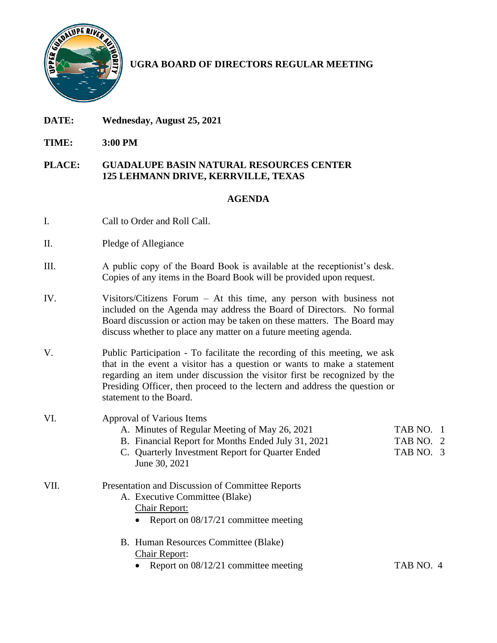

## **UGRA BOARD OF DIRECTORS REGULAR MEETING**

- **DATE: Wednesday, August 25, 2021**
- **TIME: 3:00 PM**

## **PLACE: GUADALUPE BASIN NATURAL RESOURCES CENTER 125 LEHMANN DRIVE, KERRVILLE, TEXAS**

## **AGENDA**

- I. Call to Order and Roll Call.
- II. Pledge of Allegiance
- III. A public copy of the Board Book is available at the receptionist's desk. Copies of any items in the Board Book will be provided upon request.
- IV. Visitors/Citizens Forum At this time, any person with business not included on the Agenda may address the Board of Directors. No formal Board discussion or action may be taken on these matters. The Board may discuss whether to place any matter on a future meeting agenda.
- V. Public Participation To facilitate the recording of this meeting, we ask that in the event a visitor has a question or wants to make a statement regarding an item under discussion the visitor first be recognized by the Presiding Officer, then proceed to the lectern and address the question or statement to the Board.

## VI. Approval of Various Items

|      | A. Minutes of Regular Meeting of May 26, 2021                     | TAB NO. 1 |
|------|-------------------------------------------------------------------|-----------|
|      | B. Financial Report for Months Ended July 31, 2021                | TAB NO. 2 |
|      | C. Quarterly Investment Report for Quarter Ended<br>June 30, 2021 | TAB NO. 3 |
| VII. | Presentation and Discussion of Committee Reports                  |           |
|      | A. Executive Committee (Blake)                                    |           |
|      | <b>Chair Report:</b>                                              |           |
|      | • Report on $08/17/21$ committee meeting                          |           |
|      | $\cdot$ $\sim$ $\sim$ $\sim$                                      |           |

- B. Human Resources Committee (Blake) Chair Report:
	- Report on 08/12/21 committee meeting TAB NO. 4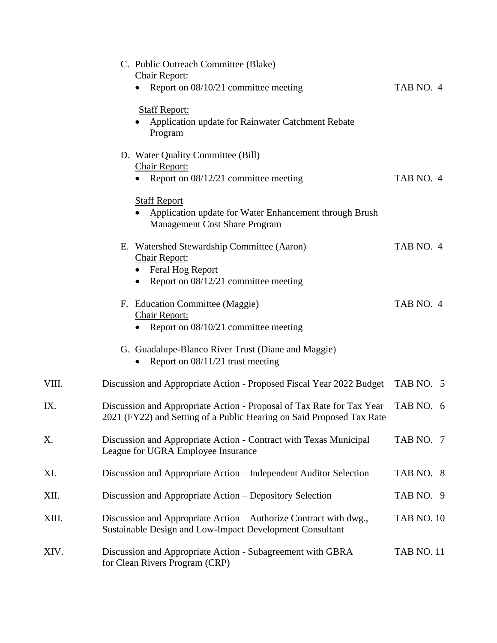|       | C. Public Outreach Committee (Blake)<br>Chair Report:<br>Report on 08/10/21 committee meeting                                                  | TAB NO. 4         |
|-------|------------------------------------------------------------------------------------------------------------------------------------------------|-------------------|
|       | <b>Staff Report:</b><br>Application update for Rainwater Catchment Rebate<br>Program                                                           |                   |
|       | D. Water Quality Committee (Bill)<br><b>Chair Report:</b><br>• Report on $08/12/21$ committee meeting                                          | TAB NO. 4         |
|       | <b>Staff Report</b><br>• Application update for Water Enhancement through Brush<br><b>Management Cost Share Program</b>                        |                   |
|       | E. Watershed Stewardship Committee (Aaron)<br><b>Chair Report:</b><br>Feral Hog Report<br>Report on 08/12/21 committee meeting                 | TAB NO. 4         |
|       | F. Education Committee (Maggie)<br><b>Chair Report:</b><br>Report on 08/10/21 committee meeting                                                | TAB NO. 4         |
|       | G. Guadalupe-Blanco River Trust (Diane and Maggie)<br>Report on $08/11/21$ trust meeting                                                       |                   |
| VIII. | Discussion and Appropriate Action - Proposed Fiscal Year 2022 Budget                                                                           | TAB NO. 5         |
| IX.   | Discussion and Appropriate Action - Proposal of Tax Rate for Tax Year<br>2021 (FY22) and Setting of a Public Hearing on Said Proposed Tax Rate | TAB NO. 6         |
| Х.    | Discussion and Appropriate Action - Contract with Texas Municipal<br>League for UGRA Employee Insurance                                        | TAB NO. 7         |
| XI.   | Discussion and Appropriate Action – Independent Auditor Selection                                                                              | TAB NO. 8         |
| XII.  | Discussion and Appropriate Action – Depository Selection                                                                                       | TAB NO. 9         |
| XIII. | Discussion and Appropriate Action – Authorize Contract with dwg.,<br>Sustainable Design and Low-Impact Development Consultant                  | <b>TAB NO. 10</b> |
| XIV.  | Discussion and Appropriate Action - Subagreement with GBRA<br>for Clean Rivers Program (CRP)                                                   | <b>TAB NO. 11</b> |